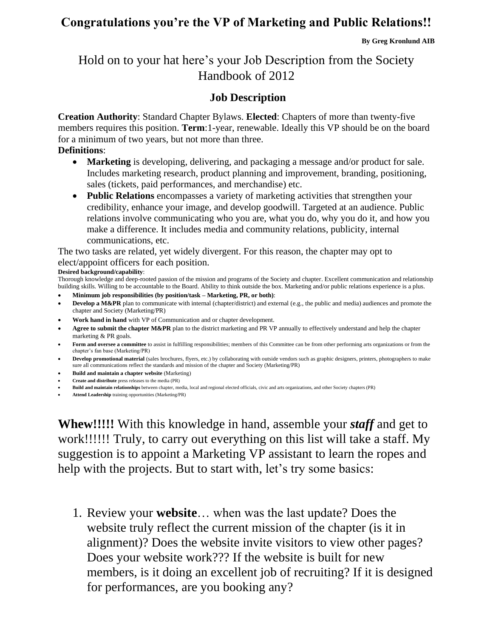## **Congratulations you're the VP of Marketing and Public Relations!!**

# Hold on to your hat here's your Job Description from the Society Handbook of 2012

## **Job Description**

**Creation Authority**: Standard Chapter Bylaws. **Elected**: Chapters of more than twenty-five members requires this position. **Term**:1-year, renewable. Ideally this VP should be on the board for a minimum of two years, but not more than three.

### **Definitions**:

- **Marketing** is developing, delivering, and packaging a message and/or product for sale. Includes marketing research, product planning and improvement, branding, positioning, sales (tickets, paid performances, and merchandise) etc.
- **Public Relations** encompasses a variety of marketing activities that strengthen your credibility, enhance your image, and develop goodwill. Targeted at an audience. Public relations involve communicating who you are, what you do, why you do it, and how you make a difference. It includes media and community relations, publicity, internal communications, etc.

The two tasks are related, yet widely divergent. For this reason, the chapter may opt to elect/appoint officers for each position.

#### **Desired background/capability**:

Thorough knowledge and deep-rooted passion of the mission and programs of the Society and chapter. Excellent communication and relationship building skills. Willing to be accountable to the Board. Ability to think outside the box. Marketing and/or public relations experience is a plus.

- **Minimum job responsibilities (by position/task – Marketing, PR, or both)**:
- **Develop a M&PR** plan to communicate with internal (chapter/district) and external (e.g., the public and media) audiences and promote the chapter and Society (Marketing/PR)
- **Work hand in hand** with VP of Communication and or chapter development.
- Agree to submit the chapter M&PR plan to the district marketing and PR VP annually to effectively understand and help the chapter marketing & PR goals.
- **Form and oversee a committee** to assist in fulfilling responsibilities; members of this Committee can be from other performing arts organizations or from the chapter's fan base (Marketing/PR)
- **Develop promotional material** (sales brochures, flyers, etc.) by collaborating with outside vendors such as graphic designers, printers, photographers to make sure all communications reflect the standards and mission of the chapter and Society (Marketing/PR)
- **Build and maintain a chapter website** (Marketing)
- **Create and distribute** press releases to the media (PR)
- **Build and maintain relationships** between chapter, media, local and regional elected officials, civic and arts organizations, and other Society chapters (PR)
- **Attend Leadership** training opportunities (Marketing/PR)

**Whew!!!!!** With this knowledge in hand, assemble your *staff* and get to work!!!!!! Truly, to carry out everything on this list will take a staff. My suggestion is to appoint a Marketing VP assistant to learn the ropes and help with the projects. But to start with, let's try some basics:

1. Review your **website**… when was the last update? Does the website truly reflect the current mission of the chapter (is it in alignment)? Does the website invite visitors to view other pages? Does your website work??? If the website is built for new members, is it doing an excellent job of recruiting? If it is designed for performances, are you booking any?